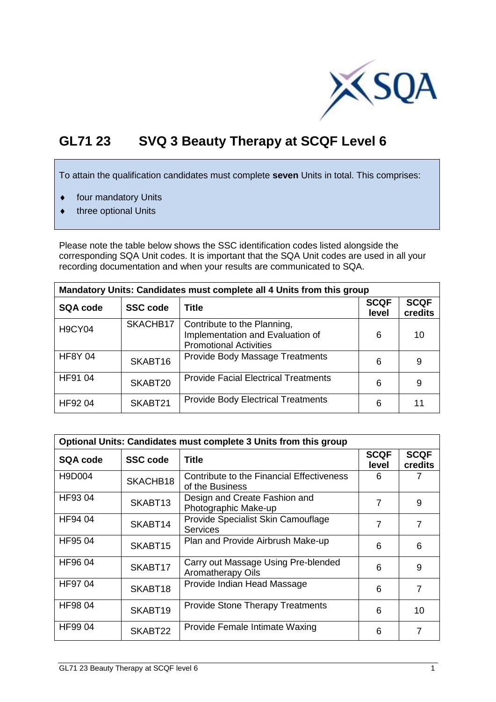

## **GL71 23 SVQ 3 Beauty Therapy at SCQF Level 6**

To attain the qualification candidates must complete **seven** Units in total. This comprises:

- $\bullet$  four mandatory Units
- $\bullet$  three optional Units

Please note the table below shows the SSC identification codes listed alongside the corresponding SQA Unit codes. It is important that the SQA Unit codes are used in all your recording documentation and when your results are communicated to SQA.

| Mandatory Units: Candidates must complete all 4 Units from this group |                 |                                                                                                  |                      |                        |  |  |  |  |
|-----------------------------------------------------------------------|-----------------|--------------------------------------------------------------------------------------------------|----------------------|------------------------|--|--|--|--|
| <b>SQA code</b>                                                       | <b>SSC code</b> | <b>Title</b>                                                                                     | <b>SCQF</b><br>level | <b>SCQF</b><br>credits |  |  |  |  |
| <b>H9CY04</b>                                                         | SKACHB17        | Contribute to the Planning,<br>Implementation and Evaluation of<br><b>Promotional Activities</b> | 6                    | 10                     |  |  |  |  |
| <b>HF8Y 04</b>                                                        | SKABT16         | Provide Body Massage Treatments                                                                  | 6                    | 9                      |  |  |  |  |
| HF91 04                                                               | SKABT20         | <b>Provide Facial Electrical Treatments</b>                                                      | 6                    | 9                      |  |  |  |  |
| HF92 04                                                               | SKABT21         | <b>Provide Body Electrical Treatments</b>                                                        | 6                    | 11                     |  |  |  |  |

| Optional Units: Candidates must complete 3 Units from this group |                 |                                                              |                      |                        |  |  |  |  |
|------------------------------------------------------------------|-----------------|--------------------------------------------------------------|----------------------|------------------------|--|--|--|--|
| SQA code                                                         | <b>SSC code</b> | <b>Title</b>                                                 | <b>SCQF</b><br>level | <b>SCQF</b><br>credits |  |  |  |  |
| H9D004                                                           | SKACHB18        | Contribute to the Financial Effectiveness<br>of the Business | 6                    |                        |  |  |  |  |
| HF9304                                                           | SKABT13         | Design and Create Fashion and<br>Photographic Make-up        | 7                    | 9                      |  |  |  |  |
| HF94 04                                                          | SKABT14         | Provide Specialist Skin Camouflage<br><b>Services</b>        | 7                    | $\overline{7}$         |  |  |  |  |
| HF95 04                                                          | SKABT15         | Plan and Provide Airbrush Make-up                            | 6                    | 6                      |  |  |  |  |
| HF96 04                                                          | SKABT17         | Carry out Massage Using Pre-blended<br>Aromatherapy Oils     | 6                    | 9                      |  |  |  |  |
| HF97 04                                                          | SKABT18         | Provide Indian Head Massage                                  | 6                    | $\overline{7}$         |  |  |  |  |
| <b>HF9804</b>                                                    | SKABT19         | <b>Provide Stone Therapy Treatments</b>                      | 6                    | 10                     |  |  |  |  |
| HF99 04                                                          | SKABT22         | Provide Female Intimate Waxing                               | 6                    |                        |  |  |  |  |